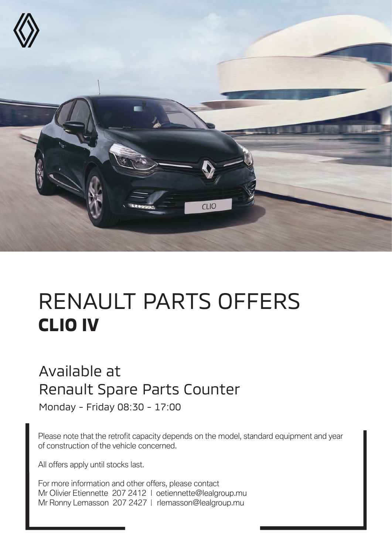

# RENAULT PARTS OFFERS **CLIO IV**

#### Available at Renault Spare Parts Counter

Monday - Friday 08:30 - 17:00

Please note that the retrofit capacity depends on the model, standard equipment and year of construction of the vehicle concerned.

All offers apply until stocks last.

For more information and other offers, please contact Mr Olivier Etiennette 207 2412 | oetiennette@lealgroup.mu Mr Ronny Lemasson 207 2427 | rlemasson@lealgroup.mu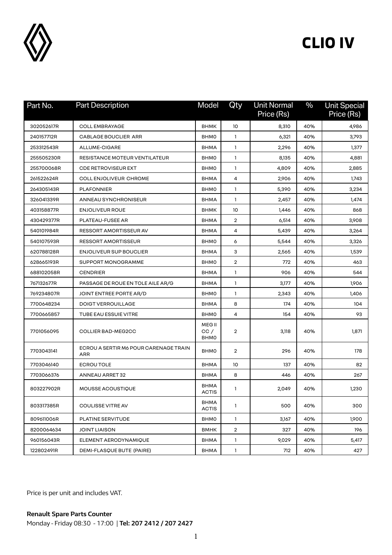

| Part No.   | <b>Part Description</b>                      | Model                                | Qty            | <b>Unit Normal</b><br>Price (Rs) | $\frac{0}{0}$ | <b>Unit Special</b><br>Price (Rs) |
|------------|----------------------------------------------|--------------------------------------|----------------|----------------------------------|---------------|-----------------------------------|
| 302052617R | <b>COLL EMBRAYAGE</b>                        | <b>BHMK</b>                          | 10             | 8,310                            | 40%           | 4,986                             |
| 240157712R | <b>CABLAGE BOUCLIER ARR</b>                  | <b>BHMO</b>                          | $\mathbf{1}$   | 6,321                            | 40%           | 3,793                             |
| 253312543R | ALLUME-CIGARE                                | <b>BHMA</b>                          | 1              | 2,296                            | 40%           | 1,377                             |
| 255505230R | RESISTANCE MOTEUR VENTILATEUR                | <b>BHMO</b>                          | 1              | 8,135                            | 40%           | 4,881                             |
| 255700068R | <b>CDE RETROVISEUR EXT</b>                   | <b>BHMO</b>                          | 1              | 4,809                            | 40%           | 2,885                             |
| 261522624R | <b>COLL ENJOLIVEUR CHROME</b>                | <b>BHMA</b>                          | 4              | 2,906                            | 40%           | 1,743                             |
| 264305143R | <b>PLAFONNIER</b>                            | <b>BHMO</b>                          | 1              | 5,390                            | 40%           | 3,234                             |
| 326041339R | ANNEAU SYNCHRONISEUR                         | <b>BHMA</b>                          | 1              | 2,457                            | 40%           | 1,474                             |
| 403158877R | <b>ENJOLIVEUR ROUE</b>                       | <b>BHMK</b>                          | 10             | 1,446                            | 40%           | 868                               |
| 430429377R | PLATEAU-FUSEE AR                             | <b>BHMA</b>                          | $\overline{2}$ | 6,514                            | 40%           | 3,908                             |
| 540101984R | RESSORT AMORTISSEUR AV                       | <b>BHMA</b>                          | 4              | 5,439                            | 40%           | 3,264                             |
| 540107593R | <b>RESSORT AMORTISSEUR</b>                   | <b>BHMO</b>                          | 6              | 5,544                            | 40%           | 3,326                             |
| 620788128R | ENJOLIVEUR SUP BOUCLIER                      | <b>BHMA</b>                          | 3              | 2,565                            | 40%           | 1,539                             |
| 628665193R | SUPPORT MONOGRAMME                           | <b>BHMO</b>                          | $\overline{2}$ | 772                              | 40%           | 463                               |
| 688102058R | <b>CENDRIER</b>                              | <b>BHMA</b>                          | 1              | 906                              | 40%           | 544                               |
| 767132677R | PASSAGE DE ROUE EN TOLE AILE AR/G            | <b>BHMA</b>                          | 1              | 3,177                            | 40%           | 1,906                             |
| 769234807R | JOINT ENTREE PORTE AR/D                      | <b>BHMO</b>                          | 1              | 2,343                            | 40%           | 1,406                             |
| 7700648234 | <b>DOIGT VERROUILLAGE</b>                    | <b>BHMA</b>                          | 8              | 174                              | 40%           | 104                               |
| 7700665857 | TUBE EAU ESSUIE VITRE                        | <b>BHMO</b>                          | 4              | 154                              | 40%           | 93                                |
| 7701056095 | COLLIER BAD-MEG2CC                           | <b>MEG II</b><br>CC /<br><b>BHMO</b> | $\overline{2}$ | 3,118                            | 40%           | 1,871                             |
| 7703043141 | ECROU A SERTIR M6 POUR CARENAGE TRAIN<br>ARR | <b>BHMO</b>                          | $\overline{2}$ | 296                              | 40%           | 178                               |
| 7703046140 | <b>ECROUTOLE</b>                             | <b>BHMA</b>                          | 10             | 137                              | 40%           | 82                                |
| 7703066376 | ANNEAU ARRET 32                              | <b>BHMA</b>                          | 8              | 446                              | 40%           | 267                               |
| 803227902R | MOUSSE ACOUSTIQUE                            | <b>BHMA</b><br><b>ACTIS</b>          | 1              | 2,049                            | 40%           | 1,230                             |
| 803317385R | <b>COULISSE VITRE AV</b>                     | <b>BHMA</b><br><b>ACTIS</b>          | 1              | 500                              | 40%           | 300                               |
| 809611006R | PLATINE SERVITUDE                            | <b>BHMO</b>                          | 1              | 3,167                            | 40%           | 1,900                             |
| 8200064634 | <b>JOINT LIAISON</b>                         | <b>BMHK</b>                          | $\overline{2}$ | 327                              | 40%           | 196                               |
| 960156043R | ELEMENT AERODYNAMIQUE                        | <b>BHMA</b>                          | 1              | 9,029                            | 40%           | 5,417                             |
| 122802491R | DEMI-FLASQUE BUTE (PAIRE)                    | <b>BHMA</b>                          | 1              | 712                              | 40%           | 427                               |

Price is per unit and includes VAT.

**Renault Spare Parts Counter**  Monday - Friday 08:30 - 17:00 | **Tel: 207 2412 / 207 2427**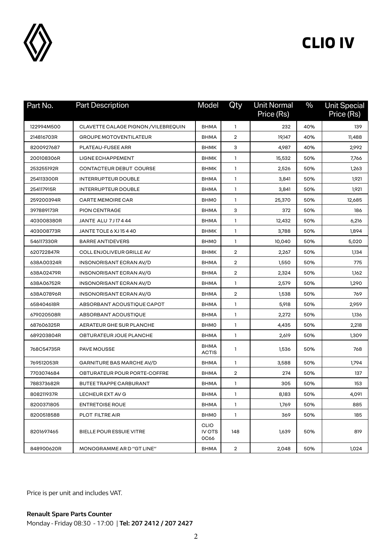

| Part No.   | <b>Part Description</b>              | Model                                       | Qty            | <b>Unit Normal</b><br>Price (Rs) | $\frac{0}{0}$ | <b>Unit Special</b><br>Price (Rs) |
|------------|--------------------------------------|---------------------------------------------|----------------|----------------------------------|---------------|-----------------------------------|
| 122994M500 | CLAVETTE CALAGE PIGNON / VILEBREQUIN | <b>BHMA</b>                                 | 1              | 232                              | 40%           | 139                               |
| 214816703R | <b>GROUPE MOTOVENTILATEUR</b>        | <b>BHMA</b>                                 | $\overline{2}$ | 19,147                           | 40%           | 11,488                            |
| 8200927687 | PLATEAU-FUSEE ARR                    | <b>BHMK</b>                                 | З              | 4,987                            | 40%           | 2,992                             |
| 200108306R | LIGNE ECHAPPEMENT                    | <b>BHMK</b>                                 | 1              | 15,532                           | 50%           | 7,766                             |
| 253255192R | CONTACTEUR DEBUT COURSE              | <b>BHMK</b>                                 | $\mathbf{1}$   | 2,526                            | 50%           | 1,263                             |
| 254113300R | <b>INTERRUPTEUR DOUBLE</b>           | <b>BHMA</b>                                 | $\mathbf{1}$   | 3,841                            | 50%           | 1,921                             |
| 254117915R | <b>INTERRUPTEUR DOUBLE</b>           | <b>BHMA</b>                                 | 1              | 3,841                            | 50%           | 1,921                             |
| 259200394R | <b>CARTE MEMOIRE CAR</b>             | <b>BHMO</b>                                 | $\mathbf{1}$   | 25,370                           | 50%           | 12,685                            |
| 397889173R | <b>PION CENTRAGE</b>                 | <b>BHMA</b>                                 | 3              | 372                              | 50%           | 186                               |
| 403008380R | <b>JANTE ALU 7J17444</b>             | <b>BHMA</b>                                 | 1              | 12,432                           | 50%           | 6,216                             |
| 403008773R | JANTE TOLE 6 XJ 15 4 40              | <b>BHMK</b>                                 | $\mathbf{1}$   | 3,788                            | 50%           | 1,894                             |
| 546117330R | <b>BARRE ANTIDEVERS</b>              | <b>BHMO</b>                                 | 1              | 10,040                           | 50%           | 5,020                             |
| 620722847R | COLL ENJOLIVEUR GRILLE AV            | <b>BHMK</b>                                 | $\overline{2}$ | 2,267                            | 50%           | 1,134                             |
| 638A00324R | INSONORISANT ECRAN AV/D              | <b>BHMA</b>                                 | $\overline{2}$ | 1,550                            | 50%           | 775                               |
| 638A02479R | INSONORISANT ECRAN AV/G              | <b>BHMA</b>                                 | $\overline{2}$ | 2,324                            | 50%           | 1,162                             |
| 638A06752R | INSONORISANT ECRAN AV/D              | <b>BHMA</b>                                 | 1              | 2,579                            | 50%           | 1,290                             |
| 638A07896R | INSONORISANT ECRAN AV/G              | <b>BHMA</b>                                 | $\overline{2}$ | 1,538                            | 50%           | 769                               |
| 658404618R | ABSORBANT ACOUSTIQUE CAPOT           | <b>BHMA</b>                                 | $\mathbf{1}$   | 5,918                            | 50%           | 2,959                             |
| 679020508R | ABSORBANT ACOUSTIQUE                 | <b>BHMA</b>                                 | 1              | 2,272                            | 50%           | 1,136                             |
| 687606325R | AERATEUR GHE SUR PLANCHE             | <b>BHMO</b>                                 | 1              | 4,435                            | 50%           | 2,218                             |
| 689203804R | OBTURATEUR JOUE PLANCHE              | BHMA                                        | 1              | 2,619                            | 50%           | 1,309                             |
| 768C54735R | <b>PAVE MOUSSE</b>                   | <b>BHMA</b><br><b>ACTIS</b>                 | 1              | 1,536                            | 50%           | 768                               |
| 769512053R | GARNITURE BAS MARCHE AV/D            | <b>BHMA</b>                                 | 1              | 3,588                            | 50%           | 1,794                             |
| 7703074684 | OBTURATEUR POUR PORTE-COFFRE         | <b>BHMA</b>                                 | $\overline{2}$ | 274                              | 50%           | 137                               |
| 788373682R | <b>BUTEE TRAPPE CARBURANT</b>        | <b>BHMA</b>                                 | 1              | 305                              | 50%           | 153                               |
| 808211937R | LECHEUR EXT AV G                     | <b>BHMA</b>                                 | 1              | 8,183                            | 50%           | 4,091                             |
| 8200371805 | <b>ENTRETOISE ROUE</b>               | <b>BHMA</b>                                 | $\mathbf{1}$   | 1,769                            | 50%           | 885                               |
| 8200518588 | PLOT FILTRE AIR                      | <b>BHMO</b>                                 | $\mathbf{1}$   | 369                              | 50%           | 185                               |
| 8201697465 | <b>BIELLE POUR ESSUIE VITRE</b>      | <b>CLIO</b><br><b>IV OTS</b><br><b>0C66</b> | 148            | 1,639                            | 50%           | 819                               |
| 848900620R | MONOGRAMME AR D "GT LINE"            | <b>BHMA</b>                                 | $\overline{a}$ | 2,048                            | 50%           | 1,024                             |

Price is per unit and includes VAT.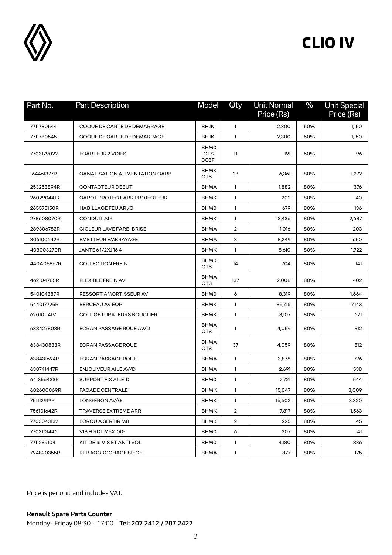

| Part No.   | <b>Part Description</b>               | Model                       | Qty            | <b>Unit Normal</b><br>Price (Rs) | $\frac{0}{0}$ | <b>Unit Special</b><br>Price (Rs) |
|------------|---------------------------------------|-----------------------------|----------------|----------------------------------|---------------|-----------------------------------|
| 7711780544 | COQUE DE CARTE DE DEMARRAGE           | <b>BHJK</b>                 | $\mathbf{1}$   | 2,300                            | 50%           | 1,150                             |
| 7711780545 | COQUE DE CARTE DE DEMARRAGE           | <b>BHJK</b>                 | 1              | 2,300                            | 50%           | 1,150                             |
| 7703179022 | <b>ECARTEUR 2 VOIES</b>               | <b>BHMO</b><br>-OTS<br>OC3F | 11             | 191                              | 50%           | 96                                |
| 164461377R | <b>CANALISATION ALIMENTATION CARB</b> | <b>BHMK</b><br><b>OTS</b>   | 23             | 6,361                            | 80%           | 1,272                             |
| 253253894R | <b>CONTACTEUR DEBUT</b>               | <b>BHMA</b>                 | $\mathbf{1}$   | 1,882                            | 80%           | 376                               |
| 260290441R | CAPOT PROTECT ARR PROJECTEUR          | <b>BHMK</b>                 | $\mathbf{1}$   | 202                              | 80%           | 40                                |
| 265575150R | HABILLAGE FEU AR/G                    | <b>BHMO</b>                 | 1              | 679                              | 80%           | 136                               |
| 278608070R | <b>CONDUIT AIR</b>                    | <b>BHMK</b>                 | $\mathbf{1}$   | 13,436                           | 80%           | 2,687                             |
| 289306782R | GICLEUR LAVE PARE-BRISE               | <b>BHMA</b>                 | 2              | 1,016                            | 80%           | 203                               |
| 306100642R | <b>EMETTEUR EMBRAYAGE</b>             | <b>BHMA</b>                 | 3              | 8,249                            | 80%           | 1,650                             |
| 403003270R | JANTE 61/2XJ164                       | <b>BHMK</b>                 | $\mathbf{1}$   | 8,610                            | 80%           | 1,722                             |
| 440A05867R | <b>COLLECTION FREIN</b>               | <b>BHMK</b><br><b>OTS</b>   | 14             | 704                              | 80%           | 141                               |
| 462104785R | FLEXIBLE FREIN AV                     | <b>BHMA</b><br><b>OTS</b>   | 137            | 2,008                            | 80%           | 402                               |
| 540104387R | RESSORT AMORTISSEUR AV                | <b>BHMO</b>                 | 6              | 8,319                            | 80%           | 1,664                             |
| 544017725R | BERCEAU AV EQP                        | <b>BHMK</b>                 | 1              | 35,716                           | 80%           | 7,143                             |
| 620101141V | <b>COLL OBTURATEURS BOUCLIER</b>      | <b>BHMK</b>                 | $\mathbf{1}$   | 3,107                            | 80%           | 621                               |
| 638427803R | ECRAN PASSAGE ROUE AV/D               | <b>BHMA</b><br><b>OTS</b>   | 1              | 4,059                            | 80%           | 812                               |
| 638430833R | <b>ECRAN PASSAGE ROUE</b>             | <b>BHMA</b><br><b>OTS</b>   | 37             | 4,059                            | 80%           | 812                               |
| 638431694R | <b>ECRAN PASSAGE ROUE</b>             | <b>BHMA</b>                 | 1              | 3,878                            | 80%           | 776                               |
| 638741447R | ENJOLIVEUR AILE AV/D                  | <b>BHMA</b>                 | 1              | 2,691                            | 80%           | 538                               |
| 641356433R | SUPPORT FIX AILE D                    | <b>BHMO</b>                 | $\mathbf{1}$   | 2,721                            | 80%           | 544                               |
| 682600069R | <b>FACADE CENTRALE</b>                | <b>BHMK</b>                 | 1              | 15,047                           | 80%           | 3,009                             |
| 751112919R | LONGERON AV/G                         | BHMK                        | 1              | 16,602                           | 80%           | 3,320                             |
| 756101642R | TRAVERSE EXTREME ARR                  | <b>BHMK</b>                 | $\overline{a}$ | 7,817                            | 80%           | 1,563                             |
| 7703043132 | ECROU A SERTIR M8                     | <b>BHMK</b>                 | $\overline{2}$ | 225                              | 80%           | 45                                |
| 7703101446 | VIS H RDL M6X100-                     | <b>BHMO</b>                 | 6              | 207                              | 80%           | 41                                |
| 7711239104 | KIT DE 16 VIS ET ANTI VOL             | <b>BHMO</b>                 | $\mathbf{1}$   | 4,180                            | 80%           | 836                               |
| 794820355R | RFR ACCROCHAGE SIEGE                  | <b>BHMA</b>                 | 1              | 877                              | 80%           | 175                               |

Price is per unit and includes VAT.

**Renault Spare Parts Counter**  Monday - Friday 08:30 - 17:00 | **Tel: 207 2412 / 207 2427**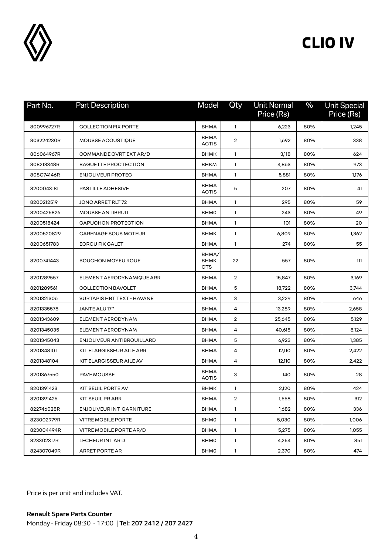

| Part No.   | <b>Part Description</b>     | Model                              | Qty            | <b>Unit Normal</b><br>Price (Rs) | $\frac{0}{0}$ | <b>Unit Special</b><br>Price (Rs) |
|------------|-----------------------------|------------------------------------|----------------|----------------------------------|---------------|-----------------------------------|
| 800996727R | <b>COLLECTION FIX PORTE</b> | <b>BHMA</b>                        | 1              | 6,223                            | 80%           | 1,245                             |
| 803224230R | MOUSSE ACOUSTIQUE           | <b>BHMA</b><br><b>ACTIS</b>        | $\overline{2}$ | 1,692                            | 80%           | 338                               |
| 806064967R | COMMANDE OVRT EXT AR/D      | <b>BHMK</b>                        | 1              | 3,118                            | 80%           | 624                               |
| 808213348R | <b>BAGUETTE PROCTECTION</b> | <b>BHKM</b>                        | $\mathbf{1}$   | 4,863                            | 80%           | 973                               |
| 808C74146R | <b>ENJOLIVEUR PROTEC</b>    | <b>BHMA</b>                        | $\mathbf{1}$   | 5,881                            | 80%           | 1,176                             |
| 8200043181 | PASTILLE ADHESIVE           | <b>BHMA</b><br><b>ACTIS</b>        | 5              | 207                              | 80%           | 41                                |
| 8200212519 | JONC ARRET RLT 72           | <b>BHMA</b>                        | 1              | 295                              | 80%           | 59                                |
| 8200425826 | <b>MOUSSE ANTIBRUIT</b>     | <b>BHMO</b>                        | $\mathbf{1}$   | 243                              | 80%           | 49                                |
| 8200518424 | CAPUCHON PROTECTION         | <b>BHMA</b>                        | 1              | 101                              | 80%           | 20                                |
| 8200520829 | <b>CARENAGE SOUS MOTEUR</b> | <b>BHMK</b>                        | 1              | 6,809                            | 80%           | 1,362                             |
| 8200651783 | <b>ECROU FIX GALET</b>      | <b>BHMA</b>                        | 1              | 274                              | 80%           | 55                                |
| 8200741443 | <b>BOUCHON MOYEU ROUE</b>   | BHMA/<br><b>BHMK</b><br><b>OTS</b> | 22             | 557                              | 80%           | 111                               |
| 8201289557 | ELEMENT AERODYNAMIQUE ARR   | <b>BHMA</b>                        | $\overline{2}$ | 15,847                           | 80%           | 3,169                             |
| 8201289561 | <b>COLLECTION BAVOLET</b>   | <b>BHMA</b>                        | 5              | 18,722                           | 80%           | 3,744                             |
| 8201321306 | SURTAPIS HBT TEXT - HAVANE  | <b>BHMA</b>                        | з              | 3,229                            | 80%           | 646                               |
| 8201335578 | JANTE ALU 17"               | <b>BHMA</b>                        | 4              | 13,289                           | 80%           | 2,658                             |
| 8201343609 | ELEMENT AERODYNAM           | <b>BHMA</b>                        | $\overline{2}$ | 25,645                           | 80%           | 5,129                             |
| 8201345035 | ELEMENT AERODYNAM           | <b>BHMA</b>                        | 4              | 40,618                           | 80%           | 8,124                             |
| 8201345043 | ENJOLIVEUR ANTIBROUILLARD   | <b>BHMA</b>                        | 5              | 6,923                            | 80%           | 1,385                             |
| 8201348101 | KIT ELARGISSEUR AILE ARR    | <b>BHMA</b>                        | 4              | 12,110                           | 80%           | 2,422                             |
| 8201348104 | KIT ELARGISSEUR AILE AV     | <b>BHMA</b>                        | 4              | 12,110                           | 80%           | 2,422                             |
| 8201367550 | PAVE MOUSSE                 | <b>BHMA</b><br><b>ACTIS</b>        | 3              | 140                              | 80%           | 28                                |
| 8201391423 | KIT SEUIL PORTE AV          | <b>BHMK</b>                        | 1              | 2,120                            | 80%           | 424                               |
| 8201391425 | KIT SEUIL PR ARR            | BHMA                               | 2              | 1,558                            | 80%           | 312                               |
| 822746028R | ENJOLIVEUR INT GARNITURE    | <b>BHMA</b>                        | $\mathbf{1}$   | 1,682                            | 80%           | 336                               |
| 823002979R | <b>VITRE MOBILE PORTE</b>   | <b>BHMO</b>                        | $\mathbf{1}$   | 5,030                            | 80%           | 1,006                             |
| 823004494R | VITRE MOBILE PORTE AR/D     | <b>BHMA</b>                        | $\mathbf{1}$   | 5,275                            | 80%           | 1,055                             |
| 823302317R | LECHEUR INT AR D            | <b>BHMO</b>                        | $\mathbf{1}$   | 4,254                            | 80%           | 851                               |
| 824307049R | ARRET PORTE AR              | <b>BHMO</b>                        | $\mathbf{1}$   | 2,370                            | 80%           | 474                               |

Price is per unit and includes VAT.

**Renault Spare Parts Counter**  Monday - Friday 08:30 - 17:00 | **Tel: 207 2412 / 207 2427**